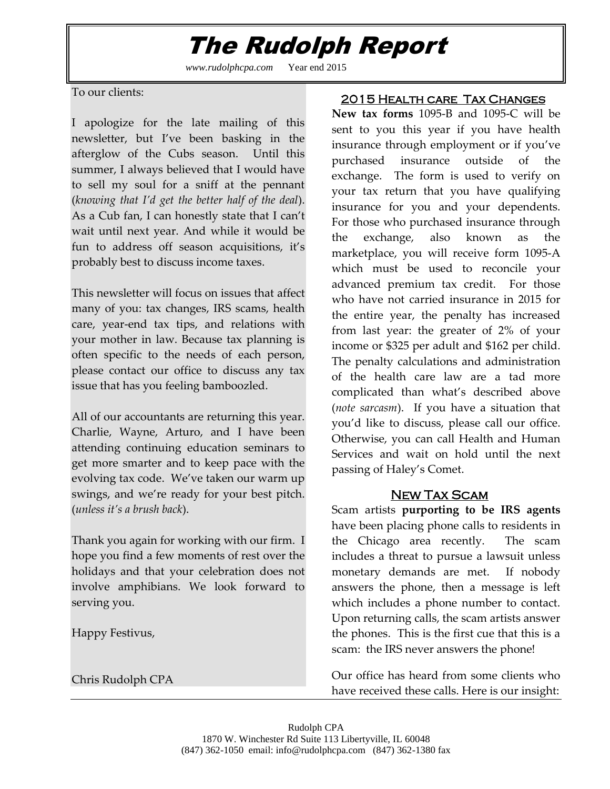## The Rudolph Report

*www.rudolphcpa.com* Year end 2015

٦

To our clients:

I apologize for the late mailing of this newsletter, but I've been basking in the afterglow of the Cubs season. Until this summer, I always believed that I would have to sell my soul for a sniff at the pennant (*knowing that I'd get the better half of the deal*). As a Cub fan, I can honestly state that I can't wait until next year. And while it would be fun to address off season acquisitions, it's probably best to discuss income taxes.

This newsletter will focus on issues that affect many of you: tax changes, IRS scams, health care, year-end tax tips, and relations with your mother in law. Because tax planning is often specific to the needs of each person, please contact our office to discuss any tax issue that has you feeling bamboozled.

All of our accountants are returning this year. Charlie, Wayne, Arturo, and I have been attending continuing education seminars to get more smarter and to keep pace with the evolving tax code. We've taken our warm up swings, and we're ready for your best pitch. (*unless it's a brush back*).

Thank you again for working with our firm. I hope you find a few moments of rest over the holidays and that your celebration does not involve amphibians. We look forward to serving you.

Happy Festivus,

Chris Rudolph CPA

#### 2015 Health care Tax Changes

**New tax forms** 1095-B and 1095-C will be sent to you this year if you have health insurance through employment or if you've purchased insurance outside of the exchange. The form is used to verify on your tax return that you have qualifying insurance for you and your dependents. For those who purchased insurance through the exchange, also known as the marketplace, you will receive form 1095-A which must be used to reconcile your advanced premium tax credit. For those who have not carried insurance in 2015 for the entire year, the penalty has increased from last year: the greater of 2% of your income or \$325 per adult and \$162 per child. The penalty calculations and administration of the health care law are a tad more complicated than what's described above (*note sarcasm*). If you have a situation that you'd like to discuss, please call our office. Otherwise, you can call Health and Human Services and wait on hold until the next passing of Haley's Comet.

#### New Tax Scam

Scam artists **purporting to be IRS agents** have been placing phone calls to residents in the Chicago area recently. The scam includes a threat to pursue a lawsuit unless monetary demands are met. If nobody answers the phone, then a message is left which includes a phone number to contact. Upon returning calls, the scam artists answer the phones. This is the first cue that this is a scam: the IRS never answers the phone!

Our office has heard from some clients who have received these calls. Here is our insight: